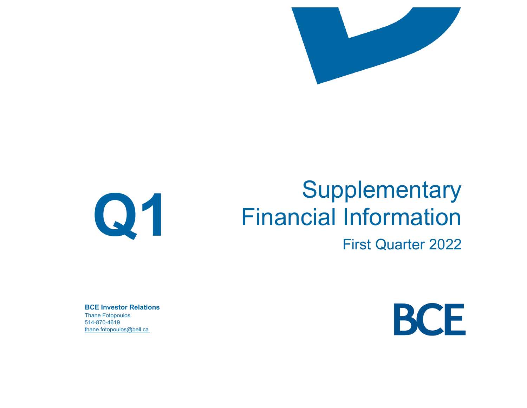

# **Q1**

# **Supplementary** Financial Information

First Quarter 2022

**BCE Investor Relations**Thane Fotopoulos 514-870-4619thane.fotopoulos@bell.ca

BCE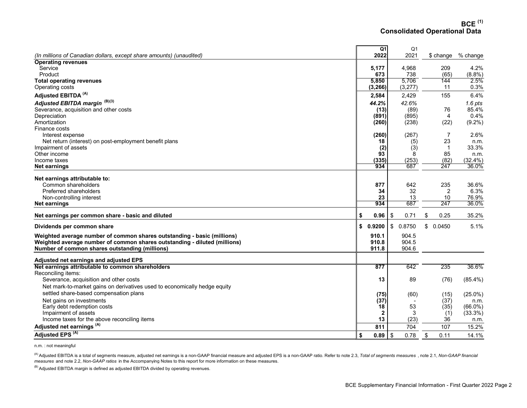**BCE (1) Consolidated Operational Data** 

|                                                                           | Q1           |            | Q <sub>1</sub> |              |            |
|---------------------------------------------------------------------------|--------------|------------|----------------|--------------|------------|
| (In millions of Canadian dollars, except share amounts) (unaudited)       | 2022         |            | 2021           | \$ change    | % change   |
| <b>Operating revenues</b>                                                 |              |            |                |              |            |
| Service                                                                   | 5,177        |            | 4,968          | 209          | 4.2%       |
| Product                                                                   | 673          |            | 738            | (65)         | (8.8%)     |
| <b>Total operating revenues</b>                                           | 5,850        |            | 5,706          | 144          | 2.5%       |
| Operating costs                                                           | (3, 266)     |            | (3,277)        | 11           | 0.3%       |
| Adjusted EBITDA <sup>(A)</sup>                                            | 2,584        |            | 2,429          | 155          | 6.4%       |
| Adjusted EBITDA margin (B)(3)                                             | 44.2%        |            | 42.6%          |              | $1.6$ pts  |
| Severance, acquisition and other costs                                    | (13)         |            | (89)           | 76           | 85.4%      |
| Depreciation                                                              | (891)        |            | (895)          | 4            | 0.4%       |
| Amortization                                                              | (260)        |            | (238)          | (22)         | $(9.2\%)$  |
| Finance costs                                                             |              |            |                |              |            |
| Interest expense                                                          | (260)        |            | (267)          | 7            | 2.6%       |
| Net return (interest) on post-employment benefit plans                    | 18           |            | (5)            | 23           | n.m.       |
| Impairment of assets                                                      | (2)          |            | (3)            | $\mathbf{1}$ | 33.3%      |
| Other income                                                              | 93           |            | 8              | 85           | n.m.       |
| Income taxes                                                              | (335)        |            | (253)          | (82)         | (32.4%)    |
| Net earnings                                                              | 934          |            | 687            | 247          | 36.0%      |
|                                                                           |              |            |                |              |            |
| Net earnings attributable to:<br>Common shareholders                      | 877          |            | 642            | 235          | 36.6%      |
| Preferred shareholders                                                    | 34           |            | 32             | 2            | 6.3%       |
| Non-controlling interest                                                  | 23           |            | 13             | 10           | 76.9%      |
| <b>Net earnings</b>                                                       | 934          |            | 687            | 247          | 36.0%      |
|                                                                           |              |            |                |              |            |
| Net earnings per common share - basic and diluted                         | \$<br>0.96   | -\$        | 0.71           | \$<br>0.25   | 35.2%      |
| Dividends per common share                                                | \$<br>0.9200 | \$         | 0.8750         | \$<br>0.0450 | 5.1%       |
| Weighted average number of common shares outstanding - basic (millions)   | 910.1        |            | 904.5          |              |            |
| Weighted average number of common shares outstanding - diluted (millions) | 910.8        |            | 904.5          |              |            |
| Number of common shares outstanding (millions)                            | 911.8        |            | 904.6          |              |            |
|                                                                           |              |            |                |              |            |
| Adjusted net earnings and adjusted EPS                                    |              |            |                |              |            |
| Net earnings attributable to common shareholders                          | 877          |            | 642            | 235          | 36.6%      |
| Reconciling items:                                                        |              |            |                |              |            |
| Severance, acquisition and other costs                                    | 13           |            | 89             | (76)         | $(85.4\%)$ |
| Net mark-to-market gains on derivatives used to economically hedge equity |              |            |                |              |            |
| settled share-based compensation plans                                    | (75)         |            | (60)           | (15)         | $(25.0\%)$ |
| Net gains on investments                                                  | (37)         |            |                | (37)         | n.m.       |
| Early debt redemption costs                                               | 18           |            | 53             | (35)         | $(66.0\%)$ |
| Impairment of assets                                                      | $\mathbf{2}$ |            | 3              | (1)          | (33.3%)    |
| Income taxes for the above reconciling items                              | 13           |            | (23)           | 36           | n.m.       |
| Adjusted net earnings <sup>(A)</sup>                                      | 811          |            | 704            | 107          | 15.2%      |
| Adjusted EPS <sup>(A)</sup>                                               | \$<br>0.89   | $\sqrt{3}$ | 0.78           | \$<br>0.11   | 14.1%      |

n.m. : not meaningful

<sup>(A)</sup> Adjusted EBITDA is a total of segments measure, adjusted net earnings is a non-GAAP financial measure and adjusted EPS is a non-GAAP ratio. Refer to note 2.3, *Total of segments measures* , note 2.1, *Non-GAAP financ measures* and note 2.2, *Non-GAAP ratios* in the Accompanying Notes to this report for more information on these measures.

 $^{(B)}$  Adjusted EBITDA margin is defined as adjusted EBITDA divided by operating revenues.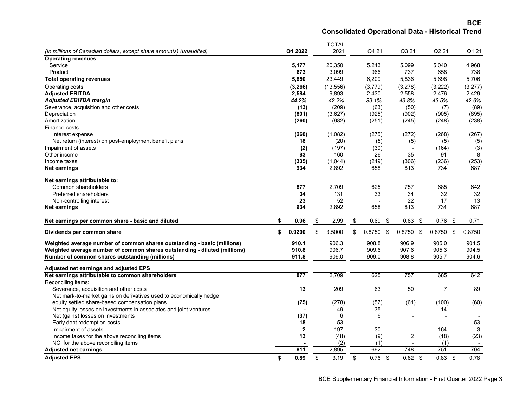**BCE Consolidated Operational Data - Historical Trend**

|                                                                           |              | <b>TOTAL</b> |                 |                   |                   |           |
|---------------------------------------------------------------------------|--------------|--------------|-----------------|-------------------|-------------------|-----------|
| (In millions of Canadian dollars, except share amounts) (unaudited)       | Q1 2022      | 2021         | Q4 21           | Q3 21             | Q <sub>2</sub> 21 | Q1 21     |
| <b>Operating revenues</b>                                                 |              |              |                 |                   |                   |           |
| Service                                                                   | 5,177        | 20,350       | 5,243           | 5,099             | 5,040             | 4,968     |
| Product                                                                   | 673          | 3,099        | 966             | 737               | 658               | 738       |
| <b>Total operating revenues</b>                                           | 5,850        | 23,449       | 6,209           | 5,836             | 5,698             | 5,706     |
| Operating costs                                                           | (3, 266)     | (13, 556)    | (3,779)         | (3,278)           | (3,222)           | (3,277)   |
| <b>Adjusted EBITDA</b>                                                    | 2,584        | 9,893        | 2,430           | 2,558             | 2,476             | 2,429     |
| <b>Adjusted EBITDA margin</b>                                             | 44.2%        | 42.2%        | 39.1%           | 43.8%             | 43.5%             | 42.6%     |
| Severance, acquisition and other costs                                    | (13)         | (209)        | (63)            | (50)              | (7)               | (89)      |
| Depreciation                                                              | (891)        | (3,627)      | (925)           | (902)             | (905)             | (895)     |
| Amortization                                                              | (260)        | (982)        | (251)           | (245)             | (248)             | (238)     |
| Finance costs                                                             |              |              |                 |                   |                   |           |
| Interest expense                                                          | (260)        | (1,082)      | (275)           | (272)             | (268)             | (267)     |
| Net return (interest) on post-employment benefit plans                    | 18           | (20)         | (5)             | (5)               | (5)               | (5)       |
| Impairment of assets                                                      | (2)          | (197)        | (30)            | ٠                 | (164)             | (3)       |
| Other income                                                              | 93           | 160          | 26              | 35                | 91                | 8         |
| Income taxes                                                              | (335)        | (1,044)      | (249)           | (306)             | (236)             | (253)     |
| Net earnings                                                              | 934          | 2,892        | 658             | 813               | 734               | 687       |
|                                                                           |              |              |                 |                   |                   |           |
| Net earnings attributable to:                                             |              |              |                 |                   |                   |           |
| Common shareholders                                                       | 877          | 2,709        | 625             | 757               | 685               | 642       |
| <b>Preferred shareholders</b>                                             | 34           | 131          | 33              | 34                | 32                | 32        |
| Non-controlling interest<br><b>Net earnings</b>                           | 23<br>934    | 52<br>2,892  | 658             | 22<br>813         | 17<br>734         | 13<br>687 |
|                                                                           |              |              |                 |                   |                   |           |
| Net earnings per common share - basic and diluted                         | \$<br>0.96   | \$<br>2.99   | \$<br>0.69      | \$<br>$0.83$ \$   | 0.76<br>- \$      | 0.71      |
| Dividends per common share                                                | \$<br>0.9200 | \$<br>3.5000 | \$<br>0.8750    | \$<br>$0.8750$ \$ | $0.8750$ \$       | 0.8750    |
| Weighted average number of common shares outstanding - basic (millions)   | 910.1        | 906.3        | 908.8           | 906.9             | 905.0             | 904.5     |
| Weighted average number of common shares outstanding - diluted (millions) | 910.8        | 906.7        | 909.6           | 907.6             | 905.3             | 904.5     |
| Number of common shares outstanding (millions)                            | 911.8        | 909.0        | 909.0           | 908.8             | 905.7             | 904.6     |
| Adjusted net earnings and adjusted EPS                                    |              |              |                 |                   |                   |           |
| Net earnings attributable to common shareholders                          | 877          | 2,709        | 625             | 757               | 685               | 642       |
| Reconciling items:                                                        |              |              |                 |                   |                   |           |
| Severance, acquisition and other costs                                    | 13           | 209          | 63              | 50                | $\overline{7}$    | 89        |
| Net mark-to-market gains on derivatives used to economically hedge        |              |              |                 |                   |                   |           |
| equity settled share-based compensation plans                             | (75)         | (278)        | (57)            | (61)              | (100)             | (60)      |
| Net equity losses on investments in associates and joint ventures         |              | 49           | 35              |                   | 14                |           |
| Net (gains) losses on investments                                         | (37)         | 6            | 6               |                   |                   |           |
| Early debt redemption costs                                               | 18           | 53           |                 |                   |                   | 53        |
| Impairment of assets                                                      | $\mathbf{2}$ | 197          | 30              | ٠                 | 164               | 3         |
| Income taxes for the above reconciling items                              | 13           | (48)         | (9)             | $\overline{2}$    | (18)              | (23)      |
| NCI for the above reconciling items                                       |              | (2)          | (1)             |                   | (1)               |           |
| <b>Adjusted net earnings</b>                                              | 811          | 2,895        | 692             | 748               | 751               | 704       |
| <b>Adiusted EPS</b>                                                       | \$<br>0.89   | \$<br>3.19   | \$<br>$0.76$ \$ | 0.82 <sup>5</sup> | $0.83$ \$         | 0.78      |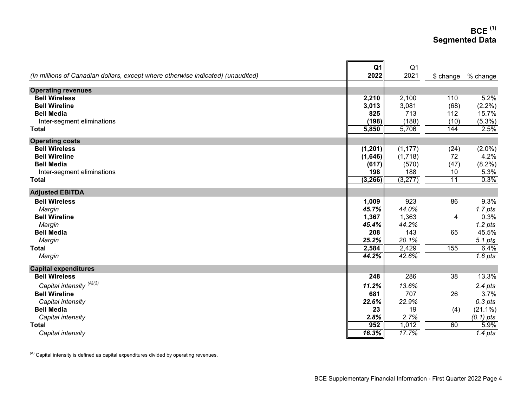### **BCE (1) Segmented Data**

| (In millions of Canadian dollars, except where otherwise indicated) (unaudited) | Q <sub>1</sub><br>2022 | Q <sub>1</sub><br>2021 | $$$ change | % change    |
|---------------------------------------------------------------------------------|------------------------|------------------------|------------|-------------|
|                                                                                 |                        |                        |            |             |
| <b>Operating revenues</b>                                                       |                        |                        |            |             |
| <b>Bell Wireless</b>                                                            | 2,210                  | 2,100                  | 110        | 5.2%        |
| <b>Bell Wireline</b>                                                            | 3,013                  | 3,081                  | (68)       | $(2.2\%)$   |
| <b>Bell Media</b>                                                               | 825                    | 713                    | 112        | 15.7%       |
| Inter-segment eliminations                                                      | (198)                  | (188)                  | (10)       | $(5.3\%)$   |
| <b>Total</b>                                                                    | 5,850                  | 5,706                  | 144        | 2.5%        |
| <b>Operating costs</b>                                                          |                        |                        |            |             |
| <b>Bell Wireless</b>                                                            | (1, 201)               | (1, 177)               | (24)       | $(2.0\%)$   |
| <b>Bell Wireline</b>                                                            | (1,646)                | (1,718)                | 72         | 4.2%        |
| <b>Bell Media</b>                                                               | (617)                  | (570)                  | (47)       | $(8.2\%)$   |
| Inter-segment eliminations                                                      | 198                    | 188                    | 10         | 5.3%        |
| <b>Total</b>                                                                    | (3, 266)               | (3, 277)               | 11         | 0.3%        |
| <b>Adjusted EBITDA</b>                                                          |                        |                        |            |             |
| <b>Bell Wireless</b>                                                            | 1,009                  | 923                    | 86         | 9.3%        |
| Margin                                                                          | 45.7%                  | 44.0%                  |            | $1.7$ pts   |
| <b>Bell Wireline</b>                                                            | 1,367                  | 1,363                  | 4          | 0.3%        |
| Margin                                                                          | 45.4%                  | 44.2%                  |            | $1.2$ pts   |
| <b>Bell Media</b>                                                               | 208                    | 143                    | 65         | 45.5%       |
| Margin                                                                          | 25.2%                  | 20.1%                  |            | 5.1 pts     |
| <b>Total</b>                                                                    | 2,584                  | 2,429                  | 155        | 6.4%        |
| Margin                                                                          | 44.2%                  | 42.6%                  |            | $1.6$ pts   |
| <b>Capital expenditures</b>                                                     |                        |                        |            |             |
| <b>Bell Wireless</b>                                                            | 248                    | 286                    | 38         | 13.3%       |
| Capital intensity (A)(3)                                                        | 11.2%                  | 13.6%                  |            | $2.4$ pts   |
| <b>Bell Wireline</b>                                                            | 681                    | 707                    | 26         | 3.7%        |
| Capital intensity                                                               | 22.6%                  | 22.9%                  |            | $0.3$ pts   |
| <b>Bell Media</b>                                                               | 23                     | 19                     | (4)        | $(21.1\%)$  |
| Capital intensity                                                               | 2.8%                   | 2.7%                   |            | $(0.1)$ pts |
| <b>Total</b>                                                                    | 952                    | 1,012                  | 60         | 5.9%        |
| Capital intensity                                                               | 16.3%                  | 17.7%                  |            | $1.4$ pts   |

 $(A)$  Capital intensity is defined as capital expenditures divided by operating revenues.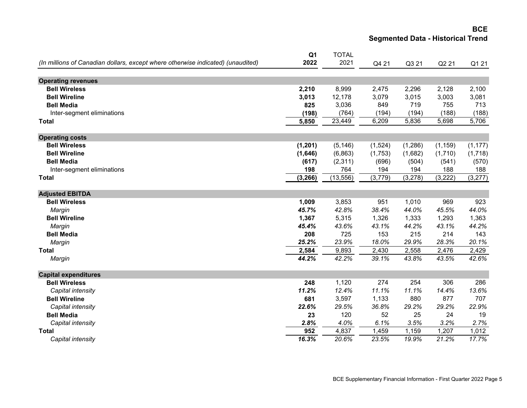#### **BCE Segmented Data - Historical Trend**

|                                                                                 | Q <sub>1</sub> | <b>TOTAL</b> |         |                 |              |              |
|---------------------------------------------------------------------------------|----------------|--------------|---------|-----------------|--------------|--------------|
| (In millions of Canadian dollars, except where otherwise indicated) (unaudited) | 2022           | 2021         | Q4 21   | Q3 21           | Q2 21        | Q1 21        |
|                                                                                 |                |              |         |                 |              |              |
| <b>Operating revenues</b>                                                       |                |              |         |                 |              |              |
| <b>Bell Wireless</b>                                                            | 2,210          | 8,999        | 2,475   | 2,296           | 2,128        | 2,100        |
| <b>Bell Wireline</b>                                                            | 3,013          | 12,178       | 3,079   | 3,015           | 3,003        | 3,081        |
| <b>Bell Media</b>                                                               | 825            | 3,036        | 849     | 719             | 755          | 713          |
| Inter-segment eliminations                                                      | (198)          | (764)        | (194)   | (194)           | (188)        | (188)        |
| Total                                                                           | 5,850          | 23,449       | 6,209   | 5,836           | 5,698        | 5,706        |
| <b>Operating costs</b>                                                          |                |              |         |                 |              |              |
| <b>Bell Wireless</b>                                                            | (1, 201)       | (5, 146)     | (1,524) | (1, 286)        | (1, 159)     | (1, 177)     |
| <b>Bell Wireline</b>                                                            | (1,646)        | (6,863)      | (1,753) | (1,682)         | (1,710)      | (1,718)      |
| <b>Bell Media</b>                                                               | (617)          | (2,311)      | (696)   | (504)           |              |              |
|                                                                                 | 198            | 764          | 194     |                 | (541)<br>188 | (570)<br>188 |
| Inter-segment eliminations<br><b>Total</b>                                      | (3, 266)       | (13, 556)    | (3,779) | 194<br>(3, 278) | (3, 222)     | (3,277)      |
|                                                                                 |                |              |         |                 |              |              |
| <b>Adjusted EBITDA</b>                                                          |                |              |         |                 |              |              |
| <b>Bell Wireless</b>                                                            | 1,009          | 3,853        | 951     | 1,010           | 969          | 923          |
| Margin                                                                          | 45.7%          | 42.8%        | 38.4%   | 44.0%           | 45.5%        | 44.0%        |
| <b>Bell Wireline</b>                                                            | 1,367          | 5,315        | 1,326   | 1,333           | 1,293        | 1,363        |
| Margin                                                                          | 45.4%          | 43.6%        | 43.1%   | 44.2%           | 43.1%        | 44.2%        |
| <b>Bell Media</b>                                                               | 208            | 725          | 153     | 215             | 214          | 143          |
| Margin                                                                          | 25.2%          | 23.9%        | 18.0%   | 29.9%           | 28.3%        | 20.1%        |
| <b>Total</b>                                                                    | 2,584          | 9,893        | 2,430   | 2,558           | 2,476        | 2,429        |
| Margin                                                                          | 44.2%          | 42.2%        | 39.1%   | 43.8%           | 43.5%        | 42.6%        |
| <b>Capital expenditures</b>                                                     |                |              |         |                 |              |              |
| <b>Bell Wireless</b>                                                            | 248            | 1,120        | 274     | 254             | 306          | 286          |
|                                                                                 | 11.2%          | 12.4%        | 11.1%   | 11.1%           | 14.4%        | 13.6%        |
| Capital intensity<br><b>Bell Wireline</b>                                       | 681            |              |         | 880             | 877          | 707          |
|                                                                                 |                | 3,597        | 1,133   |                 |              |              |
| Capital intensity                                                               | 22.6%          | 29.5%        | 36.8%   | 29.2%           | 29.2%        | 22.9%        |
| <b>Bell Media</b>                                                               | 23             | 120          | 52      | 25              | 24           | 19           |
| Capital intensity                                                               | 2.8%           | 4.0%         | 6.1%    | 3.5%            | 3.2%         | 2.7%         |
| <b>Total</b>                                                                    | 952            | 4,837        | 1,459   | 1,159           | 1,207        | 1,012        |
| Capital intensity                                                               | 16.3%          | 20.6%        | 23.5%   | 19.9%           | 21.2%        | 17.7%        |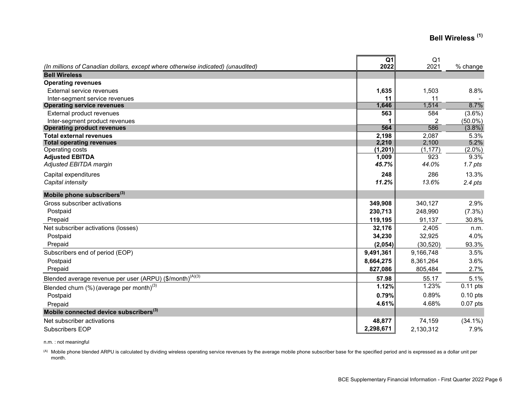# **Bell Wireless (1)**

| (In millions of Canadian dollars, except where otherwise indicated) (unaudited) | Q <sub>1</sub><br>2022 | Q <sub>1</sub><br>2021 | % change          |
|---------------------------------------------------------------------------------|------------------------|------------------------|-------------------|
| <b>Bell Wireless</b>                                                            |                        |                        |                   |
| <b>Operating revenues</b>                                                       |                        |                        |                   |
| External service revenues                                                       | 1,635                  | 1,503                  | 8.8%              |
| Inter-segment service revenues                                                  | 11                     | 11                     |                   |
| <b>Operating service revenues</b>                                               | 1,646                  | 1,514                  | 8.7%              |
| External product revenues                                                       | 563                    | 584                    | $(3.6\%)$         |
| Inter-segment product revenues                                                  |                        | 2                      | $(50.0\%)$        |
| <b>Operating product revenues</b>                                               | 564                    | 586                    | $(3.8\%)$         |
| <b>Total external revenues</b>                                                  | 2,198                  | 2,087                  | 5.3%              |
| <b>Total operating revenues</b>                                                 | 2,210                  | 2,100                  | 5.2%              |
| Operating costs                                                                 | (1, 201)               | (1, 177)<br>923        | (2.0%)            |
| <b>Adjusted EBITDA</b><br>Adjusted EBITDA margin                                | 1,009<br>45.7%         | 44.0%                  | 9.3%<br>$1.7$ pts |
|                                                                                 |                        |                        |                   |
| Capital expenditures                                                            | 248                    | 286                    | 13.3%             |
| Capital intensity                                                               | 11.2%                  | 13.6%                  | $2.4$ pts         |
| Mobile phone subscribers <sup>(3)</sup>                                         |                        |                        |                   |
| Gross subscriber activations                                                    | 349,908                | 340,127                | 2.9%              |
| Postpaid                                                                        | 230,713                | 248,990                | $(7.3\%)$         |
| Prepaid                                                                         | 119,195                | 91,137                 | 30.8%             |
| Net subscriber activations (losses)                                             | 32,176                 | 2,405                  | n.m.              |
| Postpaid                                                                        | 34,230                 | 32,925                 | 4.0%              |
| Prepaid                                                                         | (2,054)                | (30, 520)              | 93.3%             |
| Subscribers end of period (EOP)                                                 | 9,491,361              | 9,166,748              | 3.5%              |
| Postpaid                                                                        | 8,664,275              | 8,361,264              | 3.6%              |
| Prepaid                                                                         | 827,086                | 805,484                | 2.7%              |
| Blended average revenue per user (ARPU) (\$/month) <sup>(A)(3)</sup>            | 57.98                  | 55.17                  | 5.1%              |
| Blended churn $(\%)$ (average per month) $^{(3)}$                               | 1.12%                  | 1.23%                  | $0.11$ pts        |
| Postpaid                                                                        | 0.79%                  | 0.89%                  | $0.10$ pts        |
| Prepaid                                                                         | 4.61%                  | 4.68%                  | $0.07$ pts        |
| Mobile connected device subscribers <sup>(3)</sup>                              |                        |                        |                   |
| Net subscriber activations                                                      | 48,877                 | 74,159                 | $(34.1\%)$        |
| Subscribers EOP                                                                 | 2,298,671              | 2,130,312              | 7.9%              |

n.m. : not meaningful

(A) Mobile phone blended ARPU is calculated by dividing wireless operating service revenues by the average mobile phone subscriber base for the specified period and is expressed as a dollar unit per month.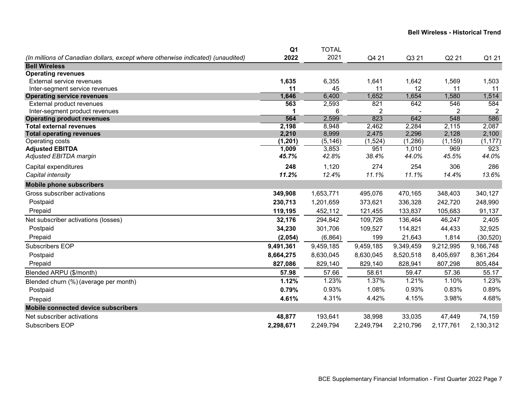|                                                                                 | Q <sub>1</sub> | <b>TOTAL</b>   |           |           |              |                |
|---------------------------------------------------------------------------------|----------------|----------------|-----------|-----------|--------------|----------------|
| (In millions of Canadian dollars, except where otherwise indicated) (unaudited) | 2022           | 2021           | Q4 21     | Q3 21     | Q2 21        | Q1 21          |
| <b>Bell Wireless</b>                                                            |                |                |           |           |              |                |
| <b>Operating revenues</b>                                                       |                |                |           |           |              |                |
| External service revenues                                                       | 1,635          | 6,355          | 1,641     | 1,642     | 1,569        | 1,503          |
| Inter-segment service revenues                                                  | 11             | 45             | 11        | 12        | 11           | 11             |
| <b>Operating service revenues</b>                                               | 1,646          | 6,400          | 1,652     | 1,654     | 1,580        | 1,514          |
| External product revenues                                                       | 563            | 2,593          | 821       | 642       | 546          | 584            |
| Inter-segment product revenues                                                  |                | 6              | 2<br>823  | 642       | 2            | $\overline{2}$ |
| <b>Operating product revenues</b><br><b>Total external revenues</b>             | 564<br>2,198   | 2,599<br>8,948 | 2,462     | 2,284     | 548<br>2,115 | 586<br>2,087   |
| <b>Total operating revenues</b>                                                 | 2,210          | 8,999          | 2,475     | 2,296     | 2,128        | 2,100          |
| Operating costs                                                                 | (1, 201)       | (5, 146)       | (1,524)   | (1,286)   | (1, 159)     | (1, 177)       |
| <b>Adjusted EBITDA</b>                                                          | 1,009          | 3,853          | 951       | 1,010     | 969          | 923            |
| Adjusted EBITDA margin                                                          | 45.7%          | 42.8%          | 38.4%     | 44.0%     | 45.5%        | 44.0%          |
| Capital expenditures                                                            | 248            | 1,120          | 274       | 254       | 306          | 286            |
| Capital intensity                                                               | 11.2%          | 12.4%          | 11.1%     | 11.1%     | 14.4%        | 13.6%          |
| <b>Mobile phone subscribers</b>                                                 |                |                |           |           |              |                |
| Gross subscriber activations                                                    | 349,908        | 1,653,771      | 495,076   | 470,165   | 348,403      | 340,127        |
| Postpaid                                                                        | 230,713        | 1,201,659      | 373,621   | 336,328   | 242,720      | 248,990        |
| Prepaid                                                                         | 119,195        | 452,112        | 121,455   | 133,837   | 105,683      | 91,137         |
| Net subscriber activations (losses)                                             | 32,176         | 294,842        | 109,726   | 136,464   | 46,247       | 2,405          |
| Postpaid                                                                        | 34,230         | 301,706        | 109,527   | 114,821   | 44,433       | 32,925         |
| Prepaid                                                                         | (2,054)        | (6, 864)       | 199       | 21,643    | 1,814        | (30, 520)      |
| Subscribers EOP                                                                 | 9,491,361      | 9,459,185      | 9,459,185 | 9,349,459 | 9,212,995    | 9,166,748      |
| Postpaid                                                                        | 8,664,275      | 8,630,045      | 8,630,045 | 8,520,518 | 8,405,697    | 8,361,264      |
| Prepaid                                                                         | 827,086        | 829,140        | 829,140   | 828,941   | 807,298      | 805,484        |
| Blended ARPU (\$/month)                                                         | 57.98          | 57.66          | 58.61     | 59.47     | 57.36        | 55.17          |
| Blended churn (%) (average per month)                                           | 1.12%          | 1.23%          | 1.37%     | 1.21%     | 1.10%        | 1.23%          |
| Postpaid                                                                        | 0.79%          | 0.93%          | 1.08%     | 0.93%     | 0.83%        | 0.89%          |
| Prepaid                                                                         | 4.61%          | 4.31%          | 4.42%     | 4.15%     | 3.98%        | 4.68%          |
| <b>Mobile connected device subscribers</b>                                      |                |                |           |           |              |                |
| Net subscriber activations                                                      | 48,877         | 193,641        | 38,998    | 33,035    | 47,449       | 74,159         |
| <b>Subscribers EOP</b>                                                          | 2,298,671      | 2,249,794      | 2,249,794 | 2,210,796 | 2,177,761    | 2,130,312      |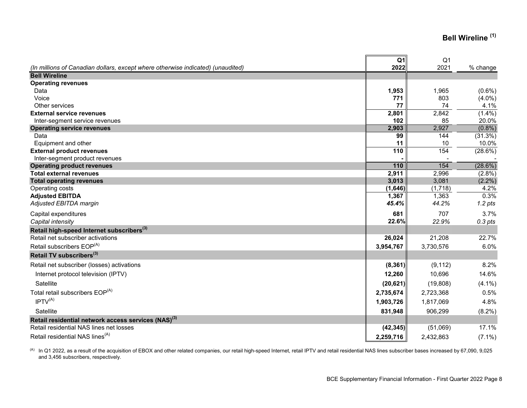# **Bell Wireline (1)**

|                                                                                 | Q <sub>1</sub> | Q <sub>1</sub> |            |
|---------------------------------------------------------------------------------|----------------|----------------|------------|
| (In millions of Canadian dollars, except where otherwise indicated) (unaudited) | 2022           | 2021           | % change   |
| <b>Bell Wireline</b>                                                            |                |                |            |
| <b>Operating revenues</b>                                                       |                |                |            |
| Data                                                                            | 1,953          | 1,965          | $(0.6\%)$  |
| Voice                                                                           | 771            | 803            | $(4.0\%)$  |
| Other services                                                                  | 77             | 74             | 4.1%       |
| <b>External service revenues</b>                                                | 2,801          | 2,842          | $(1.4\%)$  |
| Inter-segment service revenues                                                  | 102            | 85             | 20.0%      |
| <b>Operating service revenues</b>                                               | 2,903          | 2,927          | $(0.8\%)$  |
| Data                                                                            | 99             | 144            | (31.3%)    |
| Equipment and other                                                             | 11             | 10             | 10.0%      |
| <b>External product revenues</b>                                                | 110            | 154            | (28.6%)    |
| Inter-segment product revenues                                                  |                |                |            |
| <b>Operating product revenues</b>                                               | 110            | 154            | $(28.6\%)$ |
| <b>Total external revenues</b>                                                  | 2,911          | 2,996          | (2.8%)     |
| <b>Total operating revenues</b>                                                 | 3,013          | 3,081          | $(2.2\%)$  |
| Operating costs                                                                 | (1,646)        | (1,718)        | 4.2%       |
| <b>Adjusted EBITDA</b>                                                          | 1,367          | 1,363          | 0.3%       |
| Adjusted EBITDA margin                                                          | 45.4%          | 44.2%          | $1.2$ pts  |
| Capital expenditures                                                            | 681            | 707            | 3.7%       |
| Capital intensity                                                               | 22.6%          | 22.9%          | $0.3$ pts  |
| Retail high-speed Internet subscribers <sup>(3)</sup>                           |                |                |            |
| Retail net subscriber activations                                               | 26,024         | 21,208         | 22.7%      |
| Retail subscribers EOP <sup>(A)</sup>                                           | 3,954,767      | 3,730,576      | 6.0%       |
| Retail TV subscribers <sup>(3)</sup>                                            |                |                |            |
| Retail net subscriber (losses) activations                                      | (8, 361)       | (9, 112)       | 8.2%       |
| Internet protocol television (IPTV)                                             | 12,260         | 10,696         | 14.6%      |
| Satellite                                                                       | (20, 621)      | (19,808)       | $(4.1\%)$  |
| Total retail subscribers EOP <sup>(A)</sup>                                     | 2,735,674      | 2,723,368      | 0.5%       |
| IPTV <sup>(A)</sup>                                                             |                |                |            |
|                                                                                 | 1,903,726      | 1,817,069      | 4.8%       |
| Satellite                                                                       | 831,948        | 906,299        | $(8.2\%)$  |
| Retail residential network access services (NAS) <sup>(3)</sup>                 |                |                |            |
| Retail residential NAS lines net losses                                         | (42, 345)      | (51,069)       | 17.1%      |
| Retail residential NAS lines <sup>(A)</sup>                                     | 2,259,716      | 2,432,863      | $(7.1\%)$  |

(A) In Q1 2022, as a result of the acquisition of EBOX and other related companies, our retail high-speed Internet, retail IPTV and retail residential NAS lines subscriber bases increased by 67,090, 9,025 and 3,456 subscribers, respectively.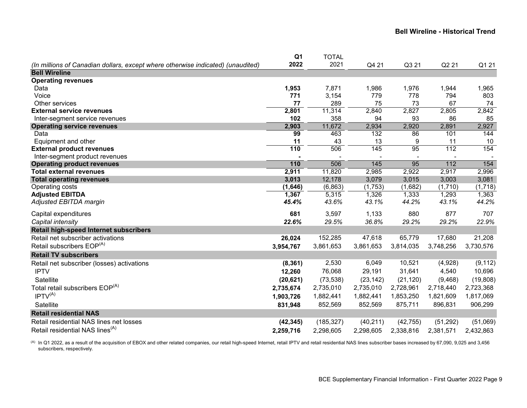|                                                                                 | Q <sub>1</sub> | <b>TOTAL</b> |           |           |                  |           |
|---------------------------------------------------------------------------------|----------------|--------------|-----------|-----------|------------------|-----------|
| (In millions of Canadian dollars, except where otherwise indicated) (unaudited) | 2022           | 2021         | Q4 21     | Q3 21     | Q2 21            | Q1 21     |
| <b>Bell Wireline</b>                                                            |                |              |           |           |                  |           |
| <b>Operating revenues</b>                                                       |                |              |           |           |                  |           |
| Data                                                                            | 1,953          | 7,871        | 1,986     | 1,976     | 1,944            | 1,965     |
| Voice                                                                           | 771            | 3,154        | 779       | 778       | 794              | 803       |
| Other services                                                                  | 77             | 289          | 75        | 73        | 67               | 74        |
| <b>External service revenues</b>                                                | 2,801          | 11,314       | 2,840     | 2,827     | 2,805            | 2,842     |
| Inter-segment service revenues                                                  | 102            | 358          | 94        | 93        | 86               | 85        |
| <b>Operating service revenues</b>                                               | 2,903          | 11,672       | 2,934     | 2,920     | 2,891            | 2,927     |
| Data                                                                            | 99             | 463          | 132       | 86        | 101              | 144       |
| Equipment and other                                                             | 11             | 43           | 13        | 9         | 11               | 10        |
| <b>External product revenues</b>                                                | 110            | 506          | 145       | 95        | $\overline{112}$ | 154       |
| Inter-segment product revenues                                                  |                |              |           |           |                  |           |
| <b>Operating product revenues</b>                                               | 110            | 506          | 145       | 95        | $\overline{112}$ | 154       |
| <b>Total external revenues</b>                                                  | 2,911          | 11,820       | 2,985     | 2,922     | 2,917            | 2,996     |
| <b>Total operating revenues</b>                                                 | 3,013          | 12,178       | 3,079     | 3,015     | 3,003            | 3,081     |
| Operating costs                                                                 | (1,646)        | (6, 863)     | (1,753)   | (1,682)   | (1,710)          | (1,718)   |
| <b>Adjusted EBITDA</b>                                                          | 1,367          | 5,315        | 1,326     | 1,333     | 1,293            | 1,363     |
| Adjusted EBITDA margin                                                          | 45.4%          | 43.6%        | 43.1%     | 44.2%     | 43.1%            | 44.2%     |
| Capital expenditures                                                            | 681            | 3,597        | 1,133     | 880       | 877              | 707       |
| Capital intensity                                                               | 22.6%          | 29.5%        | 36.8%     | 29.2%     | 29.2%            | 22.9%     |
| Retail high-speed Internet subscribers                                          |                |              |           |           |                  |           |
| Retail net subscriber activations                                               | 26,024         | 152,285      | 47,618    | 65,779    | 17,680           | 21,208    |
| Retail subscribers EOP <sup>(A)</sup>                                           | 3,954,767      | 3,861,653    | 3,861,653 | 3,814,035 | 3,748,256        | 3,730,576 |
| <b>Retail TV subscribers</b>                                                    |                |              |           |           |                  |           |
| Retail net subscriber (losses) activations                                      | (8, 361)       | 2,530        | 6,049     | 10,521    | (4,928)          | (9, 112)  |
| <b>IPTV</b>                                                                     | 12,260         | 76,068       | 29,191    | 31,641    | 4,540            | 10,696    |
| Satellite                                                                       | (20, 621)      | (73, 538)    | (23, 142) | (21, 120) | (9,468)          | (19, 808) |
| Total retail subscribers EOP <sup>(A)</sup>                                     | 2,735,674      | 2,735,010    | 2,735,010 | 2,728,961 | 2,718,440        | 2,723,368 |
| IPTV <sup>(A)</sup>                                                             | 1,903,726      | 1,882,441    | 1,882,441 | 1,853,250 | 1,821,609        | 1,817,069 |
| Satellite                                                                       | 831,948        | 852,569      | 852,569   | 875,711   | 896,831          | 906,299   |
| <b>Retail residential NAS</b>                                                   |                |              |           |           |                  |           |
| Retail residential NAS lines net losses                                         |                |              |           |           |                  |           |
|                                                                                 | (42, 345)      | (185, 327)   | (40, 211) | (42, 755) | (51, 292)        | (51,069)  |
| Retail residential NAS lines <sup>(A)</sup>                                     | 2,259,716      | 2,298,605    | 2,298,605 | 2,338,816 | 2,381,571        | 2,432,863 |

(A) In Q1 2022, as a result of the acquisition of EBOX and other related companies, our retail high-speed Internet, retail IPTV and retail residential NAS lines subscriber bases increased by 67,090, 9,025 and 3,456 subscribers, respectively.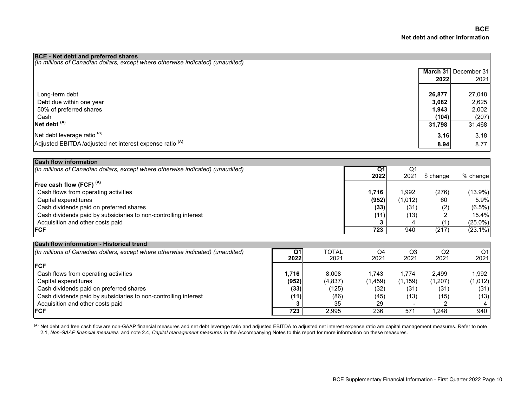| <b>BCE</b> - Net debt and preferred shares                                      |        |                      |
|---------------------------------------------------------------------------------|--------|----------------------|
| (In millions of Canadian dollars, except where otherwise indicated) (unaudited) |        |                      |
|                                                                                 |        | March 31 December 31 |
|                                                                                 | 20221  | 2021                 |
|                                                                                 |        |                      |
| Long-term debt                                                                  | 26,877 | 27,048               |
| Debt due within one year                                                        | 3,082  | 2,625                |
| 50% of preferred shares                                                         | 1,943  | 2,002                |
| Cash                                                                            | (104)  | (207)                |
| Net debt <sup>(A)</sup>                                                         | 31,798 | 31,468               |
| Net debt leverage ratio <sup>(A)</sup>                                          | 3.16   | 3.18                 |
| Adjusted EBITDA/adjusted net interest expense ratio <sup>(A)</sup>              | 8.94   | 8.77                 |

| <b>Cash flow information</b>                                                    |                |              |                |          |           |            |
|---------------------------------------------------------------------------------|----------------|--------------|----------------|----------|-----------|------------|
| (In millions of Canadian dollars, except where otherwise indicated) (unaudited) |                |              | Q <sub>1</sub> | Q1       |           |            |
|                                                                                 |                |              | 2022           | 2021     | \$ change | % change   |
| Free cash flow (FCF) <sup>(A)</sup>                                             |                |              |                |          |           |            |
| Cash flows from operating activities                                            |                |              | 1,716          | 1,992    | (276)     | $(13.9\%)$ |
| Capital expenditures                                                            |                |              | (952)          | (1,012)  | 60        | 5.9%       |
| Cash dividends paid on preferred shares                                         |                |              | (33)           | (31)     | (2)       | $(6.5\%)$  |
| Cash dividends paid by subsidiaries to non-controlling interest                 |                |              | (11)           | (13)     |           | 15.4%      |
| Acquisition and other costs paid                                                |                |              |                |          |           | $(25.0\%)$ |
| <b>FCF</b>                                                                      |                |              | 723            | 940      | (217)     | $(23.1\%)$ |
| <b>Cash flow information - Historical trend</b>                                 |                |              |                |          |           |            |
| (In millions of Canadian dollars, except where otherwise indicated) (unaudited) | Q <sub>1</sub> | <b>TOTAL</b> | Q4             | Q3       | Q2        | Q1         |
|                                                                                 | 2022           | 2021         | 2021           | 2021     | 2021      | 2021       |
| <b>FCF</b>                                                                      |                |              |                |          |           |            |
| Cash flows from operating activities                                            | 1,716          | 8,008        | 1,743          | 1,774    | 2,499     | 1,992      |
| Capital expenditures                                                            | (952)          | (4,837)      | (1, 459)       | (1, 159) | (1,207)   | (1,012)    |
| Cash dividends paid on preferred shares                                         | (33)           | (125)        | (32)           | (31)     | (31)      | (31)       |
| Cash dividends paid by subsidiaries to non-controlling interest                 | (11)           | (86)         | (45)           | (13)     | (15)      | (13)       |
| Acquisition and other costs paid                                                |                | 35           | 29             |          |           |            |
| <b>FCF</b>                                                                      | 723            | 2,995        | 236            | 571      | .248      | 940        |

(A) Net debt and free cash flow are non-GAAP financial measures and net debt leverage ratio and adjusted EBITDA to adjusted net interest expense ratio are capital management measures. Refer to note

2.1, *Non-GAAP financial measures* and note 2.4, *Capital management measures* in the Accompanying Notes to this report for more information on these measures.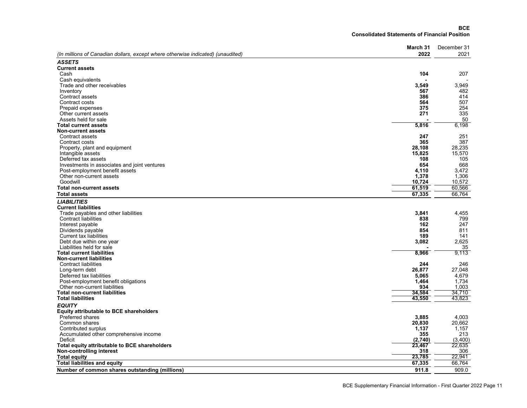#### **BCE Consolidated Statements of Financial Position**

|                                                                                 | March 31      | December 31 |
|---------------------------------------------------------------------------------|---------------|-------------|
| (In millions of Canadian dollars, except where otherwise indicated) (unaudited) | 2022          | 2021        |
| <b>ASSETS</b>                                                                   |               |             |
| <b>Current assets</b>                                                           |               |             |
| Cash                                                                            | 104           | 207         |
| Cash equivalents                                                                |               |             |
| Trade and other receivables                                                     | 3,549         | 3.949       |
| Inventory                                                                       | 567           | 482         |
| Contract assets                                                                 | 386           | 414         |
| Contract costs                                                                  | 564           | 507         |
| Prepaid expenses                                                                | 375           | 254         |
| Other current assets                                                            | 271           | 335         |
| Assets held for sale                                                            |               | 50          |
| <b>Total current assets</b>                                                     | 5,816         | 6,198       |
| <b>Non-current assets</b>                                                       |               |             |
| Contract assets                                                                 | 247           | 251         |
| Contract costs                                                                  | 365           | 387         |
| Property, plant and equipment                                                   | 28.108        | 28,235      |
| Intangible assets                                                               | 15,825        | 15,570      |
| Deferred tax assets                                                             | 108           | 105         |
| Investments in associates and joint ventures                                    | 654           | 668         |
| Post-employment benefit assets                                                  | 4,110         | 3,472       |
| Other non-current assets                                                        | 1,378         | 1,306       |
| Goodwill                                                                        | 10,724        | 10,572      |
| <b>Total non-current assets</b>                                                 | 61,519        | 60,566      |
| <b>Total assets</b>                                                             | 67,335        | 66,764      |
| <b>LIABILITIES</b>                                                              |               |             |
| <b>Current liabilities</b>                                                      |               |             |
| Trade payables and other liabilities                                            | 3,841         | 4,455       |
| <b>Contract liabilities</b>                                                     | 838           | 799         |
| Interest payable                                                                | 162           | 247         |
| Dividends payable                                                               | 854           | 811         |
| <b>Current tax liabilities</b>                                                  | 189           | 141         |
| Debt due within one year                                                        | 3,082         | 2,625       |
| Liabilities held for sale                                                       |               | 35          |
| <b>Total current liabilities</b>                                                | 8,966         | 9.113       |
| <b>Non-current liabilities</b>                                                  |               |             |
| <b>Contract liabilities</b>                                                     | 244           | 246         |
| Long-term debt                                                                  | 26.877        | 27,048      |
| Deferred tax liabilities                                                        | 5.065         | 4.679       |
| Post-employment benefit obligations                                             | 1,464         | 1,734       |
| Other non-current liabilities                                                   | 934           | 1,003       |
| <b>Total non-current liabilities</b>                                            | 34,584        | 34,710      |
| <b>Total liabilities</b>                                                        | 43,550        | 43,823      |
| <b>EQUITY</b>                                                                   |               |             |
| <b>Equity attributable to BCE shareholders</b>                                  |               |             |
| Preferred shares                                                                | 3,885         | 4.003       |
| Common shares                                                                   | 20,830        | 20,662      |
| Contributed surplus                                                             | 1,137         | 1,157       |
| Accumulated other comprehensive income                                          | 355           | 213         |
| Deficit                                                                         | (2,740)       | (3,400)     |
| Total equity attributable to BCE shareholders                                   | 23,467<br>318 | 22,635      |
| Non-controlling interest                                                        |               | 306         |
| <b>Total equity</b>                                                             | 23,785        | 22,941      |
| <b>Total liabilities and equity</b>                                             | 67,335        | 66,764      |
| Number of common shares outstanding (millions)                                  | 911.8         | 909.0       |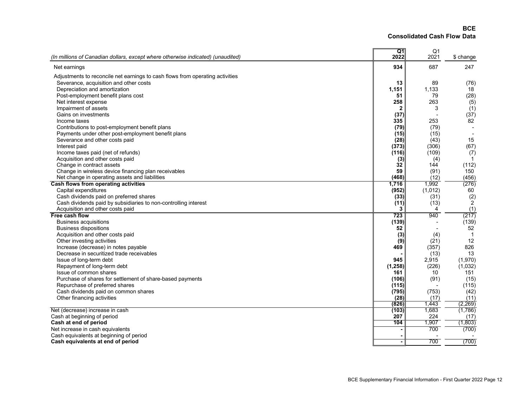**BCEConsolidated Cash Flow Data**

| (In millions of Canadian dollars, except where otherwise indicated) (unaudited) | Q1<br>2022     | Q <sub>1</sub><br>2021 | \$ change       |
|---------------------------------------------------------------------------------|----------------|------------------------|-----------------|
|                                                                                 |                |                        |                 |
| Net earnings                                                                    | 934            | 687                    | 247             |
| Adjustments to reconcile net earnings to cash flows from operating activities   |                |                        |                 |
| Severance, acquisition and other costs                                          | 13             | 89                     | (76)            |
| Depreciation and amortization                                                   | 1,151          | 1.133                  | 18              |
| Post-employment benefit plans cost                                              | 51             | 79                     | (28)            |
| Net interest expense                                                            | 258            | 263                    | (5)             |
| Impairment of assets                                                            | 2              | 3                      |                 |
|                                                                                 |                |                        | (1)             |
| Gains on investments                                                            | (37)           |                        | (37)            |
| Income taxes                                                                    | 335            | 253                    | 82 <sup>2</sup> |
| Contributions to post-employment benefit plans                                  | (79)           | (79)                   |                 |
| Payments under other post-employment benefit plans                              | (15)           | (15)                   |                 |
| Severance and other costs paid                                                  | (28)           | (43)                   | 15              |
| Interest paid                                                                   | (373)          | (306)                  | (67)            |
| Income taxes paid (net of refunds)                                              | (116)          | (109)                  | (7)             |
| Acquisition and other costs paid                                                | (3)            | (4)                    | -1              |
| Change in contract assets                                                       | 32             | 144                    | (112)           |
| Change in wireless device financing plan receivables                            | 59             | (91)                   | 150             |
| Net change in operating assets and liabilities                                  | (468)          | (12)                   | (456)           |
| Cash flows from operating activities                                            | 1,716          | 1,992                  | (276)           |
| Capital expenditures                                                            | (952)          | (1,012)                | 60              |
| Cash dividends paid on preferred shares                                         | (33)           | (31)                   | (2)             |
| Cash dividends paid by subsidiaries to non-controlling interest                 | (11)           | (13)                   | $\overline{2}$  |
| Acquisition and other costs paid                                                | 3              | 4                      | (1)             |
| Free cash flow                                                                  | 723            | 940                    | (217)           |
| <b>Business acquisitions</b>                                                    | (139)          |                        | (139)           |
| <b>Business dispositions</b>                                                    | 52             |                        | 52              |
| Acquisition and other costs paid                                                | (3)            | (4)                    | $\overline{1}$  |
| Other investing activities                                                      | (9)            | (21)                   | 12              |
| Increase (decrease) in notes payable                                            | 469            | (357)                  | 826             |
| Decrease in securitized trade receivables                                       |                | (13)                   | 13              |
| Issue of long-term debt                                                         | 945            | 2,915                  | (1,970)         |
|                                                                                 | (1, 258)       | (226)                  | (1,032)         |
| Repayment of long-term debt                                                     |                |                        |                 |
| Issue of common shares                                                          | 161            | 10                     | 151             |
| Purchase of shares for settlement of share-based payments                       | (106)          | (91)                   | (15)            |
| Repurchase of preferred shares                                                  | (115)          |                        | (115)           |
| Cash dividends paid on common shares                                            | (795)          | (753)                  | (42)            |
| Other financing activities                                                      | (28)           | (17)                   | (11)            |
|                                                                                 | (826)          | 1,443                  | (2, 269)        |
| Net (decrease) increase in cash                                                 | (103)          | 1,683                  | (1,786)         |
| Cash at beginning of period                                                     | 207            | 224                    | (17)            |
| Cash at end of period                                                           | 104            | 1,907                  | (1,803)         |
| Net increase in cash equivalents                                                |                | 700                    | (700)           |
| Cash equivalents at beginning of period                                         |                |                        |                 |
| Cash equivalents at end of period                                               | $\blacksquare$ | 700                    | (700)           |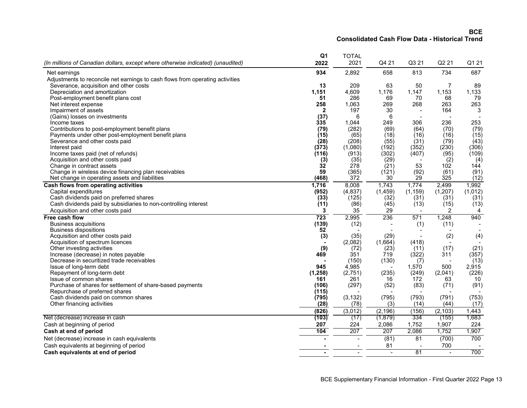**BCEConsolidated Cash Flow Data - Historical Trend**

|                                                                                 | Q1           | <b>TOTAL</b>   |                 |              |                |             |
|---------------------------------------------------------------------------------|--------------|----------------|-----------------|--------------|----------------|-------------|
| (In millions of Canadian dollars, except where otherwise indicated) (unaudited) | 2022         | 2021           | Q4 21           | Q3 21        | Q2 21          | Q1 21       |
| Net earnings                                                                    | 934          | 2,892          | 658             | 813          | 734            | 687         |
| Adjustments to reconcile net earnings to cash flows from operating activities   |              |                |                 |              |                |             |
| Severance, acquisition and other costs                                          | 13           | 209            | 63              | 50           | $\overline{7}$ | 89          |
| Depreciation and amortization                                                   | 1,151        | 4,609          | 1,176           | 1,147        | 1,153          | 1,133       |
| Post-employment benefit plans cost                                              | 51           | 286            | 69              | 70           | 68             | 79          |
| Net interest expense                                                            | 258          | 1,063          | 269             | 268          | 263            | 263         |
| Impairment of assets                                                            | $\mathbf{2}$ | 197            | 30              |              | 164            | 3           |
| (Gains) losses on investments                                                   | (37)         | 6              | 6               |              |                |             |
| Income taxes                                                                    | 335          | 1.044          | 249             | 306          | 236            | 253         |
| Contributions to post-employment benefit plans                                  | (79)         | (282)          | (69)            | (64)         | (70)           | (79)        |
| Payments under other post-employment benefit plans                              | (15)         | (65)           | (18)            | (16)         | (16)           | (15)        |
| Severance and other costs paid                                                  | (28)         | (208)          | (55)            | (31)         | (79)           | (43)        |
| Interest paid                                                                   | (373)        | (1,080)        | (192)           | (352)        | (230)          | (306)       |
| Income taxes paid (net of refunds)                                              | (116)        | (913)          | (302)           | (407)        | (95)           | (109)       |
| Acquisition and other costs paid                                                | (3)          | (35)           | (29)            |              | (2)            | (4)         |
| Change in contract assets                                                       | 32           | 278            | (21)            | 53           | 102            | 144         |
| Change in wireless device financing plan receivables                            | 59           | (365)          | (121)           | (92)         | (61)           | (91)        |
| Net change in operating assets and liabilities                                  | (468)        | 372            | 30 <sup>7</sup> | 29           | 325            | (12)        |
| Cash flows from operating activities                                            | 1,716        | 8,008          | 1,743           | 1,774        | 2,499          | 1,992       |
| Capital expenditures                                                            | (952)        | (4, 837)       | (1, 459)        | (1, 159)     | (1, 207)       | (1,012)     |
| Cash dividends paid on preferred shares                                         | (33)         | (125)          | (32)            | (31)         | (31)           | (31)        |
| Cash dividends paid by subsidiaries to non-controlling interest                 | (11)         | (86)           | (45)            | (13)         | (15)           | (13)        |
| Acquisition and other costs paid                                                | 3            | 35             | 29              |              | 2              | 4           |
| Free cash flow                                                                  | 723          | 2,995          | 236             | 571          | 1,248          | 940         |
| <b>Business acquisitions</b>                                                    | (139)        | (12)           |                 | (1)          | (11)           |             |
| <b>Business dispositions</b>                                                    | 52           |                |                 |              |                |             |
| Acquisition and other costs paid                                                | (3)          | (35)           | (29)            |              | (2)            | (4)         |
| Acquisition of spectrum licences                                                |              | (2,082)        | (1,664)         | (418)        |                |             |
| Other investing activities                                                      | (9)          | (72)           | (23)            | (11)         | (17)           | (21)        |
| Increase (decrease) in notes payable                                            | 469          | 351            | 719             | (322)        | 311            | (357)       |
| Decrease in securitized trade receivables                                       |              | (150)          | (130)           | (7)          |                | (13)        |
| Issue of long-term debt                                                         | 945          | 4,985          |                 | 1,570        | 500            | 2,915       |
| Repayment of long-term debt<br>Issue of common shares                           | (1, 258)     | (2,751)<br>261 | (235)           | (249)<br>172 | (2,041)        | (226)<br>10 |
| Purchase of shares for settlement of share-based payments                       | 161<br>(106) | (297)          | 16<br>(52)      | (83)         | 63             |             |
| Repurchase of preferred shares                                                  | (115)        |                |                 |              | (71)           | (91)        |
| Cash dividends paid on common shares                                            | (795)        | (3, 132)       | (795)           | (793)        | (791)          | (753)       |
| Other financing activities                                                      | (28)         | (78)           | (3)             | (14)         | (44)           | (17)        |
|                                                                                 | (826)        |                | (2, 196)        | (156)        | (2, 103)       | 1,443       |
| Net (decrease) increase in cash                                                 | (103)        | (3,012)        |                 |              |                | 1,683       |
|                                                                                 |              | (17)           | (1,879)         | 334          | (155)          |             |
| Cash at beginning of period                                                     | 207          | 224            | 2,086           | 1,752        | 1,907          | 224         |
| Cash at end of period                                                           | 104          | 207            | 207             | 2,086        | 1,752          | 1,907       |
| Net (decrease) increase in cash equivalents                                     |              |                | (81)            | 81           | (700)          | 700         |
| Cash equivalents at beginning of period                                         |              |                | 81              |              | 700            |             |
| Cash equivalents at end of period                                               |              | $\overline{a}$ | $\mathbf{r}$    | 81           | $\overline{a}$ | 700         |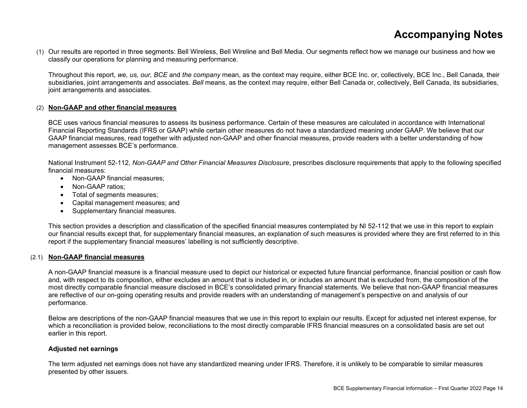# **Accompanying Notes**

(1) Our results are reported in three segments: Bell Wireless, Bell Wireline and Bell Media. Our segments reflect how we manage our business and how we classify our operations for planning and measuring performance.

Throughout this report, *we, us, our, BCE* and *the company* mean, as the context may require, either BCE Inc. or, collectively, BCE Inc., Bell Canada, their subsidiaries, joint arrangements and associates. *Bell* means, as the context may require, either Bell Canada or, collectively, Bell Canada, its subsidiaries, joint arrangements and associates.

#### (2) **Non-GAAP and other financial measures**

BCE uses various financial measures to assess its business performance. Certain of these measures are calculated in accordance with International Financial Reporting Standards (IFRS or GAAP) while certain other measures do not have a standardized meaning under GAAP. We believe that our GAAP financial measures, read together with adjusted non-GAAP and other financial measures, provide readers with a better understanding of how management assesses BCE's performance.

National Instrument 52-112, *Non-GAAP and Other Financial Measures Disclosure*, prescribes disclosure requirements that apply to the following specified financial measures:

- Non-GAAP financial measures:
- Non-GAAP ratios:
- Total of segments measures;
- Capital management measures; and
- Supplementary financial measures.

This section provides a description and classification of the specified financial measures contemplated by NI 52-112 that we use in this report to explain our financial results except that, for supplementary financial measures, an explanation of such measures is provided where they are first referred to in this report if the supplementary financial measures' labelling is not sufficiently descriptive.

#### (2.1) **Non-GAAP financial measures**

A non-GAAP financial measure is a financial measure used to depict our historical or expected future financial performance, financial position or cash flow and, with respect to its composition, either excludes an amount that is included in, or includes an amount that is excluded from, the composition of the most directly comparable financial measure disclosed in BCE's consolidated primary financial statements. We believe that non-GAAP financial measures are reflective of our on-going operating results and provide readers with an understanding of management's perspective on and analysis of our performance.

Below are descriptions of the non-GAAP financial measures that we use in this report to explain our results. Except for adjusted net interest expense, for which a reconciliation is provided below, reconciliations to the most directly comparable IFRS financial measures on a consolidated basis are set out earlier in this report.

#### **Adjusted net earnings**

The term adjusted net earnings does not have any standardized meaning under IFRS. Therefore, it is unlikely to be comparable to similar measures presented by other issuers.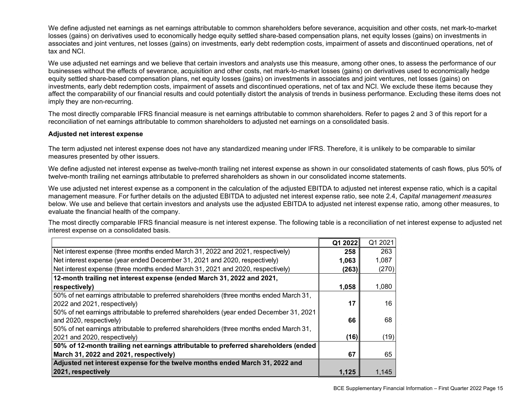We define adjusted net earnings as net earnings attributable to common shareholders before severance, acquisition and other costs, net mark-to-market losses (gains) on derivatives used to economically hedge equity settled share-based compensation plans, net equity losses (gains) on investments in associates and joint ventures, net losses (gains) on investments, early debt redemption costs, impairment of assets and discontinued operations, net of tax and NCI.

We use adjusted net earnings and we believe that certain investors and analysts use this measure, among other ones, to assess the performance of our businesses without the effects of severance, acquisition and other costs, net mark-to-market losses (gains) on derivatives used to economically hedge equity settled share-based compensation plans, net equity losses (gains) on investments in associates and joint ventures, net losses (gains) on investments, early debt redemption costs, impairment of assets and discontinued operations, net of tax and NCI. We exclude these items because they affect the comparability of our financial results and could potentially distort the analysis of trends in business performance. Excluding these items does not imply they are non-recurring.

The most directly comparable IFRS financial measure is net earnings attributable to common shareholders. Refer to pages 2 and 3 of this report for a reconciliation of net earnings attributable to common shareholders to adjusted net earnings on a consolidated basis.

#### **Adjusted net interest expense**

The term adjusted net interest expense does not have any standardized meaning under IFRS. Therefore, it is unlikely to be comparable to similar measures presented by other issuers.

We define adjusted net interest expense as twelve-month trailing net interest expense as shown in our consolidated statements of cash flows, plus 50% of twelve-month trailing net earnings attributable to preferred shareholders as shown in our consolidated income statements.

We use adjusted net interest expense as a component in the calculation of the adjusted EBITDA to adjusted net interest expense ratio, which is a capital management measure. For further details on the adjusted EBITDA to adjusted net interest expense ratio, see note 2.4, *Capital management measures*  below. We use and believe that certain investors and analysts use the adjusted EBITDA to adjusted net interest expense ratio, among other measures, to evaluate the financial health of the company.

The most directly comparable IFRS financial measure is net interest expense. The following table is a reconciliation of net interest expense to adjusted net interest expense on a consolidated basis.

|                                                                                          | Q1 2022 | Q1 2021 |
|------------------------------------------------------------------------------------------|---------|---------|
| Net interest expense (three months ended March 31, 2022 and 2021, respectively)          | 258     | 263     |
| Net interest expense (year ended December 31, 2021 and 2020, respectively)               | 1,063   | 1,087   |
| Net interest expense (three months ended March 31, 2021 and 2020, respectively)          | (263)   | (270)   |
| 12-month trailing net interest expense (ended March 31, 2022 and 2021,                   |         |         |
| respectively)                                                                            | 1,058   | 1,080   |
| 50% of net earnings attributable to preferred shareholders (three months ended March 31, |         |         |
| 2022 and 2021, respectively)                                                             | 17      | 16      |
| 50% of net earnings attributable to preferred shareholders (year ended December 31, 2021 |         |         |
| and 2020, respectively)                                                                  | 66      | 68      |
| 50% of net earnings attributable to preferred shareholders (three months ended March 31, |         |         |
| 2021 and 2020, respectively)                                                             | (16)    | (19)    |
| 50% of 12-month trailing net earnings attributable to preferred shareholders (ended      |         |         |
| March 31, 2022 and 2021, respectively)                                                   | 67      | 65      |
| Adjusted net interest expense for the twelve months ended March 31, 2022 and             |         |         |
| 2021, respectively                                                                       | 1,125   | 1,145   |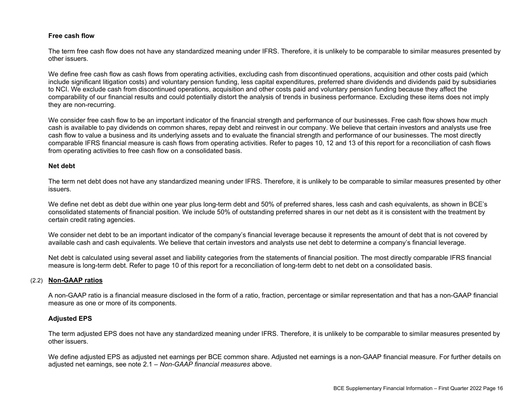#### **Free cash flow**

The term free cash flow does not have any standardized meaning under IFRS. Therefore, it is unlikely to be comparable to similar measures presented by other issuers.

We define free cash flow as cash flows from operating activities, excluding cash from discontinued operations, acquisition and other costs paid (which include significant litigation costs) and voluntary pension funding, less capital expenditures, preferred share dividends and dividends paid by subsidiaries to NCI. We exclude cash from discontinued operations, acquisition and other costs paid and voluntary pension funding because they affect the comparability of our financial results and could potentially distort the analysis of trends in business performance. Excluding these items does not imply they are non-recurring.

We consider free cash flow to be an important indicator of the financial strength and performance of our businesses. Free cash flow shows how much cash is available to pay dividends on common shares, repay debt and reinvest in our company. We believe that certain investors and analysts use free cash flow to value a business and its underlying assets and to evaluate the financial strength and performance of our businesses. The most directly comparable IFRS financial measure is cash flows from operating activities. Refer to pages 10, 12 and 13 of this report for a reconciliation of cash flows from operating activities to free cash flow on a consolidated basis.

#### **Net debt**

The term net debt does not have any standardized meaning under IFRS. Therefore, it is unlikely to be comparable to similar measures presented by other issuers.

We define net debt as debt due within one year plus long-term debt and 50% of preferred shares, less cash and cash equivalents, as shown in BCE's consolidated statements of financial position. We include 50% of outstanding preferred shares in our net debt as it is consistent with the treatment by certain credit rating agencies.

We consider net debt to be an important indicator of the company's financial leverage because it represents the amount of debt that is not covered by available cash and cash equivalents. We believe that certain investors and analysts use net debt to determine a company's financial leverage.

Net debt is calculated using several asset and liability categories from the statements of financial position. The most directly comparable IFRS financial measure is long-term debt. Refer to page 10 of this report for a reconciliation of long-term debt to net debt on a consolidated basis.

#### (2.2) **Non-GAAP ratios**

A non-GAAP ratio is a financial measure disclosed in the form of a ratio, fraction, percentage or similar representation and that has a non-GAAP financial measure as one or more of its components.

#### **Adjusted EPS**

The term adjusted EPS does not have any standardized meaning under IFRS. Therefore, it is unlikely to be comparable to similar measures presented by other issuers.

We define adjusted EPS as adjusted net earnings per BCE common share. Adjusted net earnings is a non-GAAP financial measure. For further details on adjusted net earnings, see note 2.1 – *Non-GAAP financial measures* above.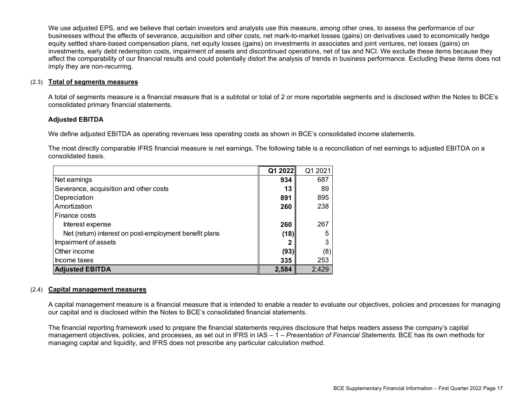We use adjusted EPS, and we believe that certain investors and analysts use this measure, among other ones, to assess the performance of our businesses without the effects of severance, acquisition and other costs, net mark-to-market losses (gains) on derivatives used to economically hedge equity settled share-based compensation plans, net equity losses (gains) on investments in associates and joint ventures, net losses (gains) on investments, early debt redemption costs, impairment of assets and discontinued operations, net of tax and NCI. We exclude these items because they affect the comparability of our financial results and could potentially distort the analysis of trends in business performance. Excluding these items does not imply they are non-recurring.

#### (2.3) **Total of segments measures**

A total of segments measure is a financial measure that is a subtotal or total of 2 or more reportable segments and is disclosed within the Notes to BCE's consolidated primary financial statements.

#### **Adjusted EBITDA**

We define adjusted EBITDA as operating revenues less operating costs as shown in BCE's consolidated income statements.

The most directly comparable IFRS financial measure is net earnings. The following table is a reconciliation of net earnings to adjusted EBITDA on a consolidated basis.

|                                                        | Q1 2022 | Q1 2021 |
|--------------------------------------------------------|---------|---------|
| Net earnings                                           | 934     | 687     |
| Severance, acquisition and other costs                 | 13      | 89      |
| Depreciation                                           | 891     | 895     |
| Amortization                                           | 260     | 238     |
| Finance costs                                          |         |         |
| Interest expense                                       | 260     | 267     |
| Net (return) interest on post-employment benefit plans | (18)    | 5       |
| Impairment of assets                                   |         | 3       |
| Other income                                           | (93)    | (8)     |
| Income taxes                                           | 335     | 253     |
| <b>Adjusted EBITDA</b>                                 | 2,584   | 2,429   |

#### (2.4) **Capital management measures**

A capital management measure is a financial measure that is intended to enable a reader to evaluate our objectives, policies and processes for managing our capital and is disclosed within the Notes to BCE's consolidated financial statements.

The financial reporting framework used to prepare the financial statements requires disclosure that helps readers assess the company's capital management objectives, policies, and processes, as set out in IFRS in IAS – 1 – *Presentation of Financial Statements.* BCE has its own methods for managing capital and liquidity, and IFRS does not prescribe any particular calculation method.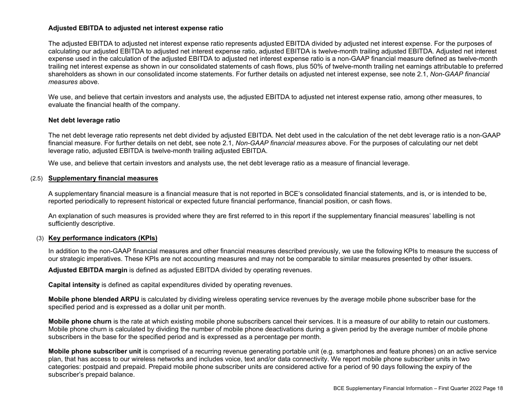#### **Adjusted EBITDA to adjusted net interest expense ratio**

The adjusted EBITDA to adjusted net interest expense ratio represents adjusted EBITDA divided by adjusted net interest expense. For the purposes of calculating our adjusted EBITDA to adjusted net interest expense ratio, adjusted EBITDA is twelve-month trailing adjusted EBITDA. Adjusted net interest expense used in the calculation of the adjusted EBITDA to adjusted net interest expense ratio is a non-GAAP financial measure defined as twelve-month trailing net interest expense as shown in our consolidated statements of cash flows, plus 50% of twelve-month trailing net earnings attributable to preferred shareholders as shown in our consolidated income statements. For further details on adjusted net interest expense, see note 2.1, *Non-GAAP financial measures* above.

We use, and believe that certain investors and analysts use, the adjusted EBITDA to adjusted net interest expense ratio, among other measures, to evaluate the financial health of the company.

#### **Net debt leverage ratio**

The net debt leverage ratio represents net debt divided by adjusted EBITDA. Net debt used in the calculation of the net debt leverage ratio is a non-GAAP financial measure. For further details on net debt, see note 2.1, *Non-GAAP financial measures* above. For the purposes of calculating our net debt leverage ratio, adjusted EBITDA is twelve-month trailing adjusted EBITDA.

We use, and believe that certain investors and analysts use, the net debt leverage ratio as a measure of financial leverage.

#### (2.5) **Supplementary financial measures**

A supplementary financial measure is a financial measure that is not reported in BCE's consolidated financial statements, and is, or is intended to be, reported periodically to represent historical or expected future financial performance, financial position, or cash flows.

An explanation of such measures is provided where they are first referred to in this report if the supplementary financial measures' labelling is not sufficiently descriptive.

#### (3) **Key performance indicators (KPIs)**

In addition to the non-GAAP financial measures and other financial measures described previously, we use the following KPIs to measure the success of our strategic imperatives. These KPIs are not accounting measures and may not be comparable to similar measures presented by other issuers.

**Adjusted EBITDA margin** is defined as adjusted EBITDA divided by operating revenues.

**Capital intensity** is defined as capital expenditures divided by operating revenues.

**Mobile phone blended ARPU** is calculated by dividing wireless operating service revenues by the average mobile phone subscriber base for the specified period and is expressed as a dollar unit per month.

**Mobile phone churn** is the rate at which existing mobile phone subscribers cancel their services. It is a measure of our ability to retain our customers. Mobile phone churn is calculated by dividing the number of mobile phone deactivations during a given period by the average number of mobile phone subscribers in the base for the specified period and is expressed as a percentage per month.

**Mobile phone subscriber unit** is comprised of a recurring revenue generating portable unit (e.g. smartphones and feature phones) on an active service plan, that has access to our wireless networks and includes voice, text and/or data connectivity. We report mobile phone subscriber units in two categories: postpaid and prepaid. Prepaid mobile phone subscriber units are considered active for a period of 90 days following the expiry of the subscriber's prepaid balance.